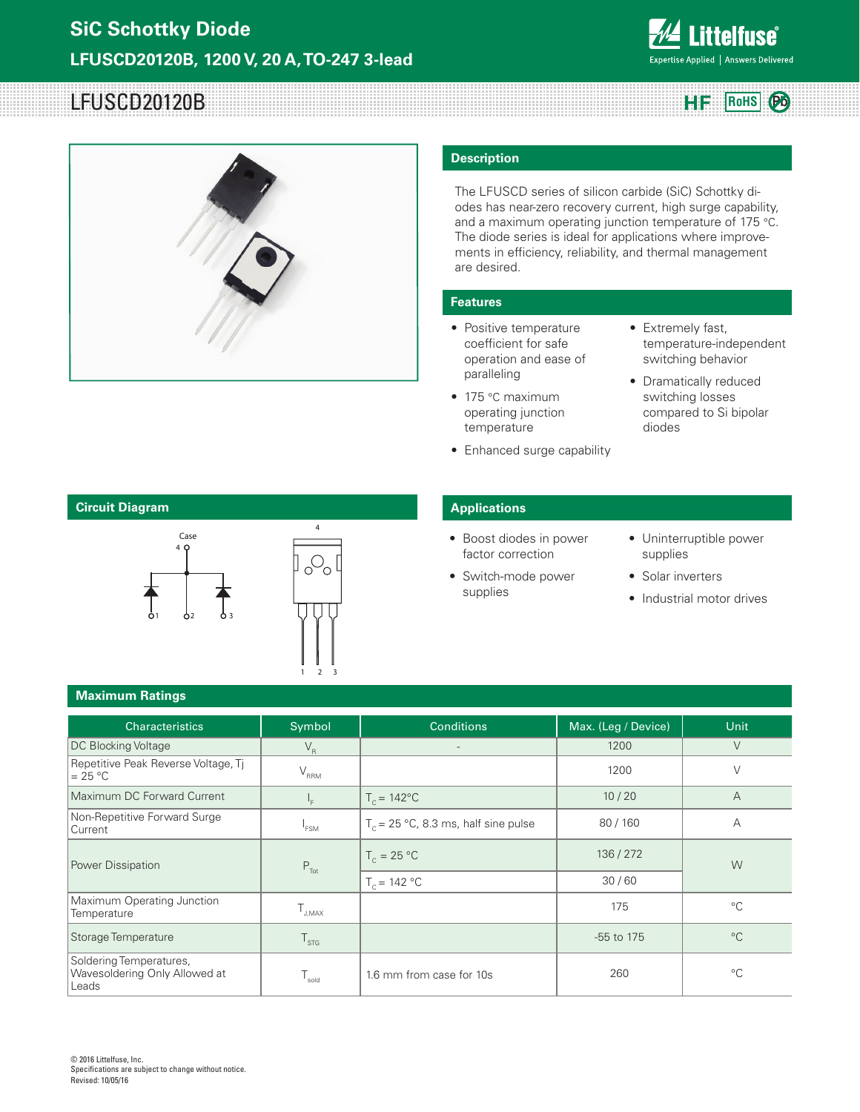

# LFUSCD20120B **HF** RoHS **Pb**



#### **Description**

The LFUSCD series of silicon carbide (SiC) Schottky diodes has near-zero recovery current, high surge capability, and a maximum operating junction temperature of 175 °C. The diode series is ideal for applications where improvements in efficiency, reliability, and thermal management are desired.

#### **Features**

- Positive temperature coefficient for safe operation and ease of paralleling
- 175 °C maximum operating junction temperature
- Enhanced surge capability
- Extremely fast, temperature-independent switching behavior
- Dramatically reduced switching losses compared to Si bipolar diodes



1 2

3

### **Applications**

- Boost diodes in power factor correction
- Switch-mode power supplies
- Uninterruptible power supplies
- Solar inverters
- Industrial motor drives

#### **Maximum Ratings**

| <b>Characteristics</b>                                            | Symbol           | <b>Conditions</b>                      | Max. (Leg / Device) | Unit           |  |
|-------------------------------------------------------------------|------------------|----------------------------------------|---------------------|----------------|--|
| <b>DC Blocking Voltage</b>                                        | $V_R$            | $\overline{\phantom{a}}$               | 1200                | $\vee$         |  |
| Repetitive Peak Reverse Voltage, Tj<br>$= 25 °C$                  | $V_{\rm RRM}$    |                                        | 1200                | $\vee$         |  |
| Maximum DC Forward Current                                        | ۱ <sub>F</sub>   | $T_c = 142^{\circ}C$                   | 10/20               | $\overline{A}$ |  |
| Non-Repetitive Forward Surge<br>Current                           | <sup>1</sup> FSM | $T_c$ = 25 °C, 8.3 ms, half sine pulse | 80/160              | А              |  |
| Power Dissipation                                                 | $P_{\text{Tot}}$ | $T_c = 25 °C$                          | 136/272             | W              |  |
|                                                                   |                  | $T_c = 142 °C$                         | 30/60               |                |  |
| Maximum Operating Junction<br>Temperature                         | J.MAX            |                                        | 175                 | $^{\circ}$ C   |  |
| Storage Temperature                                               | $T_{\rm STG}$    |                                        | -55 to 175          | $^{\circ}C$    |  |
| Soldering Temperatures,<br>Wavesoldering Only Allowed at<br>Leads | sold             | 1.6 mm from case for 10s               | 260                 | $^{\circ}C$    |  |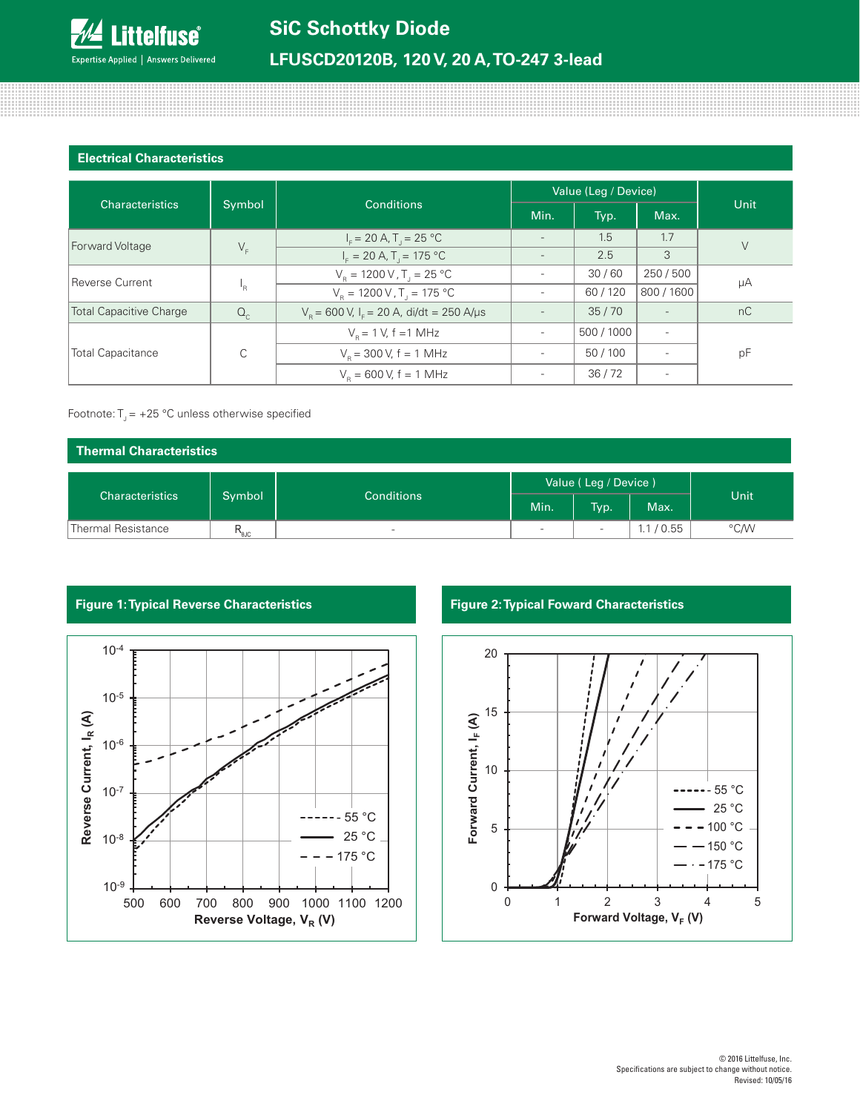# **LFUSCD20120B, 120 V, 20 A, TO-247 3-lead**

#### **Electrical Characteristics**

| <b>Characteristics</b>         |         |                                                              | Value (Leg / Device)     |            |            |        |  |
|--------------------------------|---------|--------------------------------------------------------------|--------------------------|------------|------------|--------|--|
|                                | Symbol  | Conditions                                                   | Min.                     | Typ.       | Max.       | Unit   |  |
| Forward Voltage                |         | $I_{\rm r}$ = 20 A, T <sub>1</sub> = 25 °C                   | $\overline{\phantom{a}}$ | 1.5        | 1.7        | $\vee$ |  |
|                                | $V_F$   | $I_{\rm r} = 20 \text{ A}$ , T <sub>1</sub> = 175 °C         |                          | 2.5        | 3          |        |  |
| Reverse Current                | 'R      | $V_R = 1200 V, T_I = 25 °C$                                  |                          | 30/60      | 250/500    | μA     |  |
|                                |         | $V_{\rm B} = 1200 \,\rm V$ , T <sub>1</sub> = 175 °C         |                          | 60/120     | 800 / 1600 |        |  |
| <b>Total Capacitive Charge</b> | $Q_{c}$ | $V_{\rm B}$ = 600 V, I <sub>E</sub> = 20 A, di/dt = 250 A/µs |                          | 35/70      |            | nC     |  |
| <b>Total Capacitance</b>       | C       | $V_p = 1 V$ , f = 1 MHz                                      |                          | 500 / 1000 |            |        |  |
|                                |         | $V_{\rm B}$ = 300 V, f = 1 MHz                               |                          | 50/100     |            | pF     |  |
|                                |         | $V_p = 600 V$ , f = 1 MHz                                    |                          | 36/72      |            |        |  |

#### Footnote:  $T_1 = +25$  °C unless otherwise specified

| Thermal Characteristics |                             |                          |                          |                          |       |      |
|-------------------------|-----------------------------|--------------------------|--------------------------|--------------------------|-------|------|
| <b>Characteristics</b>  | Symbol<br><b>Conditions</b> |                          | Value (Leg / Device)     |                          |       |      |
|                         |                             | Min.                     | Typ.                     | Max.                     | Unit  |      |
| Thermal Resistance      | $R_{\text{euc}}$            | $\overline{\phantom{a}}$ | $\overline{\phantom{a}}$ | $\overline{\phantom{a}}$ | /0.55 | °C/W |



## **Figure 1: Typical Reverse Characteristics Figure 2: Typical Foward Characteristics**

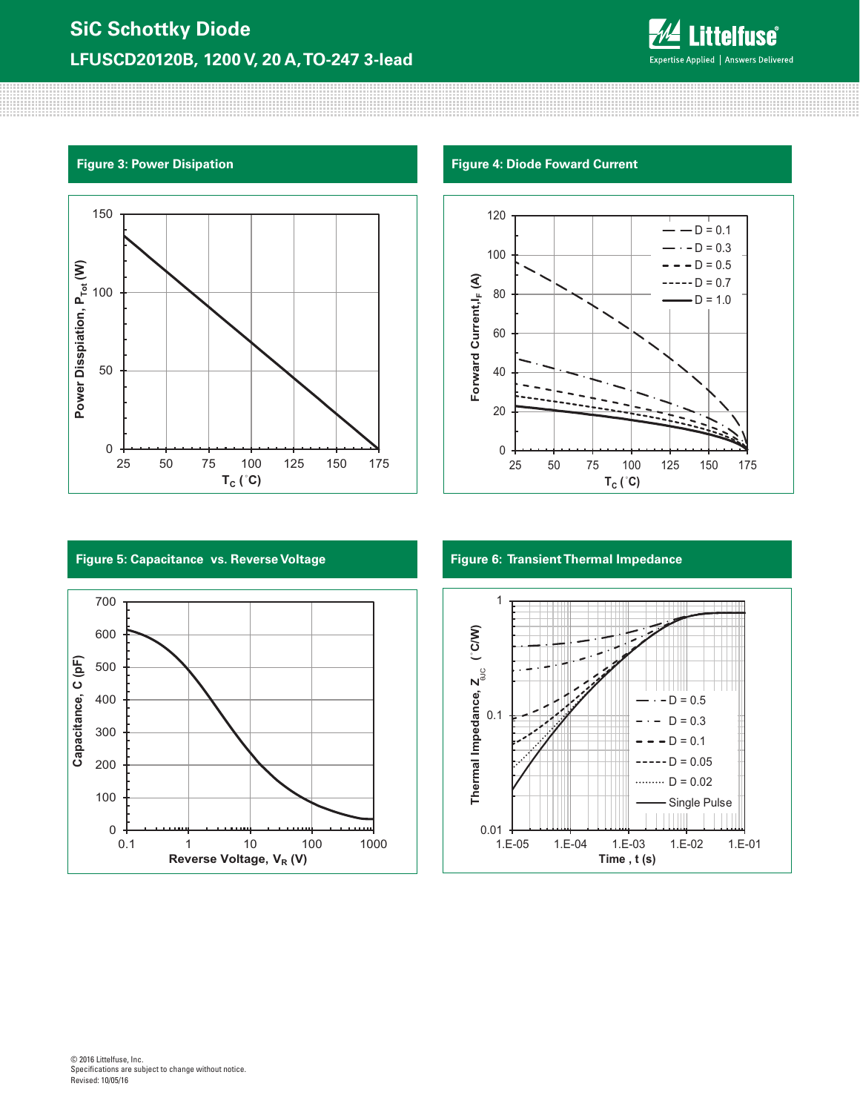



**Figure 3: Power Disipation Figure 4: Diode Foward Current**



### **Figure 5: Capacitance vs. Reverse Voltage**



**Figure 6: Transient Thermal Impedance**